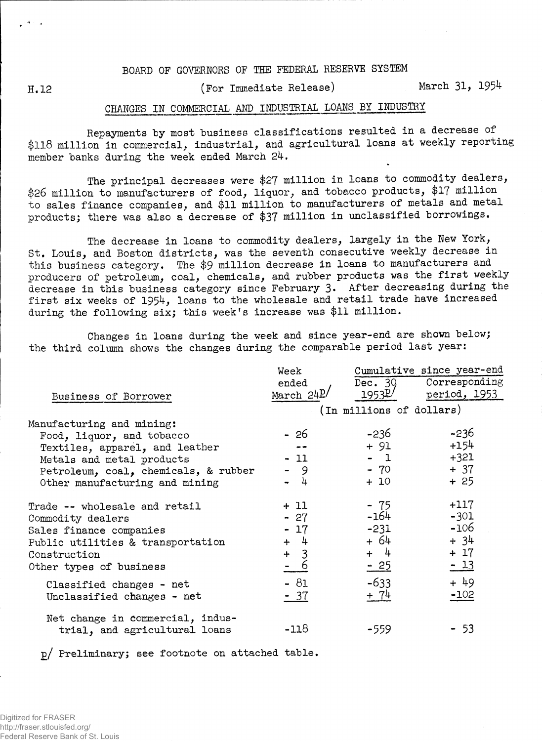## **BOARD OF GOVERNORS OF THE FEDERAL RESERVE SYSTEM**

**H.12 (For Immediate Release) March 31> 1954**

## **CHANGES IN COMMERCIAL AMD INDUSTRIAL LOAMS BY INDUSTRY**

**Repayments "by most "business classifications resulted in a decrease of \$118 million in commercial, industrial, and agricultural loans at weekly reporting member banks during the week ended March 24.**

**The principal decreases were \$27 million in loans to commodity dealers, \$26 million to manufacturers of food, liquor, and tobacco products, \$17 million to sales finance companies, and \$11 million to manufacturers of metals and metal products; there was also a decrease of \$37 million in unclassified borrowings.**

**The decrease in loans to commodity dealers, largely in the New York, St. Louis, and Boston districts, was the seventh consecutive weekly decrease in this business category. The \$9 million decrease in loans to manufacturers and producers of petroleum, coal, chemicals, and rubber products was the first weekly decrease in this business category since February 3» After decreasing during the first six weeks of 1954, loans to the wholesale and retail trade have increased during the following six; this week's increase was \$11 million.**

**Changes in loans during the week and since year-end are shown below; the third column shows the changes during the comparable period last year:**

|                                                                   | Week         | Cumulative since year-end |                       |  |  |  |  |
|-------------------------------------------------------------------|--------------|---------------------------|-----------------------|--|--|--|--|
|                                                                   | ended        |                           | Dec. 30 Corresponding |  |  |  |  |
| Business of Borrower                                              | March $24P/$ | 1953 <sup>p/</sup>        | period, 1953          |  |  |  |  |
|                                                                   |              | (In millions of dollars)  |                       |  |  |  |  |
| Manufacturing and mining:                                         |              |                           |                       |  |  |  |  |
| Food, liquor, and tobacco                                         | - 26         | -236                      | $-236$                |  |  |  |  |
| Textiles, apparel, and leather                                    |              | + 91                      | $+154$                |  |  |  |  |
| Metals and metal products                                         | - 11         | $-1$                      | $+321$                |  |  |  |  |
| Petroleum, coal, chemicals, & rubber                              | - 9          | $-70$                     | $+37$                 |  |  |  |  |
| Other manufacturing and mining                                    | - 4          | $+10$                     | $+25$                 |  |  |  |  |
| Trade -- wholesale and retail                                     | $+11$        | - 75                      | $+117$                |  |  |  |  |
| Commodity dealers                                                 | $-27$        | -164                      | $-301$                |  |  |  |  |
| Sales finance companies                                           | $-17$        | $-231$                    | $-106$                |  |  |  |  |
| Public utilities & transportation                                 | $+$ 4        | + 64                      | $+34$                 |  |  |  |  |
| Construction                                                      | $+ 3$        | $+$ 4                     | $+ 17$                |  |  |  |  |
| Other types of business                                           | $= 6$        | $-25$                     | $-13$                 |  |  |  |  |
| Classified changes - net                                          | $-81$        | $-633$                    | $+49$                 |  |  |  |  |
| Unclassified changes - net                                        | $-37$        | $+ 74$                    | $-102$                |  |  |  |  |
| Net change in commercial, indus-<br>trial, and agricultural loans | $-118$       | $-559$                    | - 53                  |  |  |  |  |
|                                                                   |              |                           |                       |  |  |  |  |

**p/ Preliminary; see footnote on attached table.**